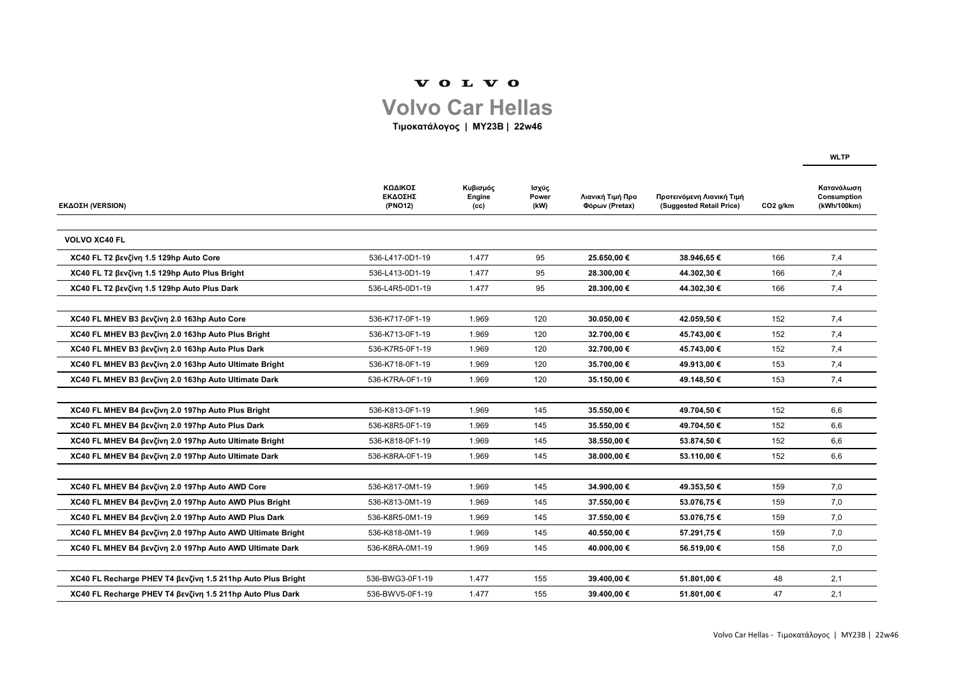**WLTP**

| <b>ΕΚΔΟΣΗ (VERSION)</b>                                     | ΚΩΔΙΚΟΣ<br>ΕΚΔΟΣΗΣ<br>(PNO12) | Κυβισμός<br>Engine<br>(cc) | Ισχύς<br>Power<br>(kW) | Λιανική Τιμή Προ<br>Φόρων (Pretax) | Προτεινόμενη Λιανική Τιμή<br>(Suggested Retail Price) | CO <sub>2</sub> g/km | Κατανάλωση<br><b>Consumption</b><br>(kWh/100km) |
|-------------------------------------------------------------|-------------------------------|----------------------------|------------------------|------------------------------------|-------------------------------------------------------|----------------------|-------------------------------------------------|
|                                                             |                               |                            |                        |                                    |                                                       |                      |                                                 |
| <b>VOLVO XC40 FL</b>                                        |                               |                            |                        |                                    |                                                       |                      |                                                 |
| XC40 FL T2 βενζίνη 1.5 129hp Auto Core                      | 536-L417-0D1-19               | 1.477                      | 95                     | 25.650,00 €                        | 38.946,65 €                                           | 166                  | 7,4                                             |
| XC40 FL T2 βενζίνη 1.5 129hp Auto Plus Bright               | 536-L413-0D1-19               | 1.477                      | 95                     | 28.300,00 €                        | 44.302,30 €                                           | 166                  | 7,4                                             |
| XC40 FL T2 βενζίνη 1.5 129hp Auto Plus Dark                 | 536-L4R5-0D1-19               | 1.477                      | 95                     | 28.300,00 €                        | 44.302,30 €                                           | 166                  | 7,4                                             |
|                                                             |                               |                            |                        |                                    |                                                       |                      |                                                 |
| XC40 FL MHEV B3 βενζίνη 2.0 163hp Auto Core                 | 536-K717-0F1-19               | 1.969                      | 120                    | 30.050,00 €                        | 42.059,50 €                                           | 152                  | 7,4                                             |
| XC40 FL MHEV B3 βενζίνη 2.0 163hp Auto Plus Bright          | 536-K713-0F1-19               | 1.969                      | 120                    | 32.700,00 €                        | 45.743,00 €                                           | 152                  | 7,4                                             |
| XC40 FL MHEV B3 βενζίνη 2.0 163hp Auto Plus Dark            | 536-K7R5-0F1-19               | 1.969                      | 120                    | 32.700,00 €                        | 45.743,00 €                                           | 152                  | 7,4                                             |
| XC40 FL MHEV B3 βενζίνη 2.0 163hp Auto Ultimate Bright      | 536-K718-0F1-19               | 1.969                      | 120                    | 35.700,00 €                        | 49.913,00 €                                           | 153                  | 7,4                                             |
| ΧC40 FL MHEV Β3 βενζίνη 2.0 163hp Auto Ultimate Dark        | 536-K7RA-0F1-19               | 1.969                      | 120                    | 35.150,00 €                        | 49.148,50 €                                           | 153                  | 7,4                                             |
|                                                             |                               |                            |                        |                                    |                                                       |                      |                                                 |
| XC40 FL MHEV B4 βενζίνη 2.0 197hp Auto Plus Bright          | 536-K813-0F1-19               | 1.969                      | 145                    | 35.550,00 €                        | 49.704,50 €                                           | 152                  | 6,6                                             |
| XC40 FL MHEV B4 βενζίνη 2.0 197hp Auto Plus Dark            | 536-K8R5-0F1-19               | 1.969                      | 145                    | 35.550,00 €                        | 49.704,50 €                                           | 152                  | 6,6                                             |
| XC40 FL MHEV B4 βενζίνη 2.0 197hp Auto Ultimate Bright      | 536-K818-0F1-19               | 1.969                      | 145                    | 38.550,00 €                        | 53.874,50 €                                           | 152                  | 6,6                                             |
| XC40 FL MHEV B4 βενζίνη 2.0 197hp Auto Ultimate Dark        | 536-K8RA-0F1-19               | 1.969                      | 145                    | 38.000,00 €                        | 53.110,00 €                                           | 152                  | 6,6                                             |
|                                                             |                               |                            |                        |                                    |                                                       |                      |                                                 |
| XC40 FL MHEV B4 βενζίνη 2.0 197hp Auto AWD Core             | 536-K817-0M1-19               | 1.969                      | 145                    | 34.900,00 €                        | 49.353,50 €                                           | 159                  | 7,0                                             |
| XC40 FL MHEV B4 βενζίνη 2.0 197hp Auto AWD Plus Bright      | 536-K813-0M1-19               | 1.969                      | 145                    | 37.550,00 €                        | 53.076,75 €                                           | 159                  | 7,0                                             |
| XC40 FL MHEV B4 βενζίνη 2.0 197hp Auto AWD Plus Dark        | 536-K8R5-0M1-19               | 1.969                      | 145                    | 37.550,00 €                        | 53.076,75€                                            | 159                  | 7,0                                             |
| XC40 FL MHEV B4 βενζίνη 2.0 197hp Auto AWD Ultimate Bright  | 536-K818-0M1-19               | 1.969                      | 145                    | 40.550,00 €                        | 57.291,75 €                                           | 159                  | 7,0                                             |
| XC40 FL MHEV B4 βενζίνη 2.0 197hp Auto AWD Ultimate Dark    | 536-K8RA-0M1-19               | 1.969                      | 145                    | 40.000,00 €                        | 56.519,00 €                                           | 158                  | 7,0                                             |
|                                                             |                               |                            |                        |                                    |                                                       |                      |                                                 |
| XC40 FL Recharge PHEV T4 βενζίνη 1.5 211hp Auto Plus Bright | 536-BWG3-0F1-19               | 1.477                      | 155                    | 39.400,00 €                        | 51.801,00 €                                           | 48                   | 2,1                                             |
| XC40 FL Recharge PHEV T4 βενζίνη 1.5 211hp Auto Plus Dark   | 536-BWV5-0F1-19               | 1.477                      | 155                    | 39.400,00 €                        | 51.801,00 €                                           | 47                   | 2,1                                             |

## VOLVO

## **Volvo Car Hellas**

**Τιμοκατάλογος | MY23B | 22w46**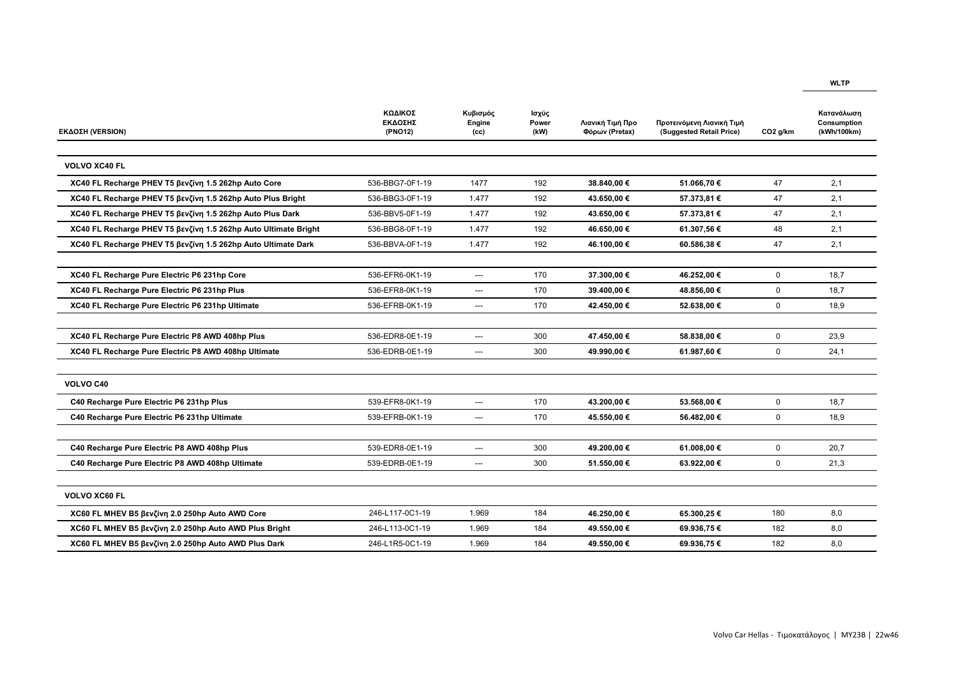## **WLTP**

| <b>ΕΚΔΟΣΗ (VERSION)</b>                                         | ΚΩΔΙΚΟΣ<br>ΕΚΔΟΣΗΣ<br>(PNO12) | Κυβισμός<br>Engine<br>(cc) | Ισχύς<br>Power<br>(kW) | Λιανική Τιμή Προ<br>Φόρων (Pretax) | Προτεινόμενη Λιανική Τιμή<br>(Suggested Retail Price) | CO <sub>2</sub> g/km | Κατανάλωση<br>Consumption<br>(kWh/100km) |
|-----------------------------------------------------------------|-------------------------------|----------------------------|------------------------|------------------------------------|-------------------------------------------------------|----------------------|------------------------------------------|
| <b>VOLVO XC40 FL</b>                                            |                               |                            |                        |                                    |                                                       |                      |                                          |
| XC40 FL Recharge PHEV T5 βενζίνη 1.5 262hp Auto Core            | 536-BBG7-0F1-19               | 1477                       | 192                    | 38.840,00 €                        | 51.066,70 €                                           | 47                   | 2,1                                      |
| XC40 FL Recharge PHEV T5 βενζίνη 1.5 262hp Auto Plus Bright     | 536-BBG3-0F1-19               | 1.477                      | 192                    | 43.650,00 €                        | 57.373,81 €                                           | 47                   | 2,1                                      |
| XC40 FL Recharge PHEV T5 βενζίνη 1.5 262hp Auto Plus Dark       | 536-BBV5-0F1-19               | 1.477                      | 192                    | 43.650,00 €                        | 57.373,81 €                                           | 47                   | 2,1                                      |
| XC40 FL Recharge PHEV T5 βενζίνη 1.5 262hp Auto Ultimate Bright | 536-BBG8-0F1-19               | 1.477                      | 192                    | 46.650,00 €                        | 61.307,56€                                            | 48                   | 2,1                                      |
| XC40 FL Recharge PHEV T5 βενζίνη 1.5 262hp Auto Ultimate Dark   | 536-BBVA-0F1-19               | 1.477                      | 192                    | 46.100,00 €                        | 60.586,38 €                                           | 47                   | 2,1                                      |
| XC40 FL Recharge Pure Electric P6 231hp Core                    | 536-EFR6-0K1-19               | $\qquad \qquad \cdots$     | 170                    | 37.300,00 €                        | 46.252,00 €                                           | $\mathbf 0$          | 18,7                                     |
| XC40 FL Recharge Pure Electric P6 231hp Plus                    | 536-EFR8-0K1-19               | $\qquad \qquad \cdots$     | 170                    | 39.400,00 €                        | 48.856,00 €                                           | $\mathbf 0$          | 18,7                                     |
| XC40 FL Recharge Pure Electric P6 231hp Ultimate                | 536-EFRB-0K1-19               | ---                        | 170                    | 42.450,00 €                        | 52.638,00 €                                           | $\mathbf 0$          | 18,9                                     |
| XC40 FL Recharge Pure Electric P8 AWD 408hp Plus                | 536-EDR8-0E1-19               | $\qquad \qquad \cdots$     | 300                    | 47.450,00 €                        | 58.838,00 €                                           | $\mathbf 0$          | 23,9                                     |
| XC40 FL Recharge Pure Electric P8 AWD 408hp Ultimate            | 536-EDRB-0E1-19               | $\qquad \qquad \cdots$     | 300                    | 49.990,00 €                        | 61.987,60 €                                           | $\mathbf 0$          | 24,1                                     |
| <b>VOLVO C40</b>                                                |                               |                            |                        |                                    |                                                       |                      |                                          |
| C40 Recharge Pure Electric P6 231hp Plus                        | 539-EFR8-0K1-19               | $\qquad \qquad \cdots$     | 170                    | 43.200,00 €                        | 53.568,00 €                                           | $\mathbf 0$          | 18,7                                     |
| C40 Recharge Pure Electric P6 231hp Ultimate                    | 539-EFRB-0K1-19               | ---                        | 170                    | 45.550,00 €                        | 56.482,00 €                                           | $\mathbf 0$          | 18,9                                     |
| C40 Recharge Pure Electric P8 AWD 408hp Plus                    | 539-EDR8-0E1-19               | ---                        | 300                    | 49.200,00 €                        | 61.008,00 €                                           | $\mathbf 0$          | 20,7                                     |
| C40 Recharge Pure Electric P8 AWD 408hp Ultimate                | 539-EDRB-0E1-19               | $\qquad \qquad \cdots$     | 300                    | 51.550,00 €                        | 63.922,00 €                                           | $\overline{0}$       | 21,3                                     |
|                                                                 |                               |                            |                        |                                    |                                                       |                      |                                          |
| <b>VOLVO XC60 FL</b>                                            |                               |                            |                        |                                    |                                                       |                      |                                          |
| XC60 FL MHEV B5 βενζίνη 2.0 250hp Auto AWD Core                 | 246-L117-0C1-19               | 1.969                      | 184                    | 46.250,00 €                        | 65.300,25€                                            | 180                  | 8,0                                      |
| XC60 FL MHEV B5 βενζίνη 2.0 250hp Auto AWD Plus Bright          | 246-L113-0C1-19               | 1.969                      | 184                    | 49.550,00 €                        | 69.936,75€                                            | 182                  | 8,0                                      |
| XC60 FL MHEV B5 βενζίνη 2.0 250hp Auto AWD Plus Dark            | 246-L1R5-0C1-19               | 1.969                      | 184                    | 49.550,00 €                        | 69.936,75€                                            | 182                  | 8,0                                      |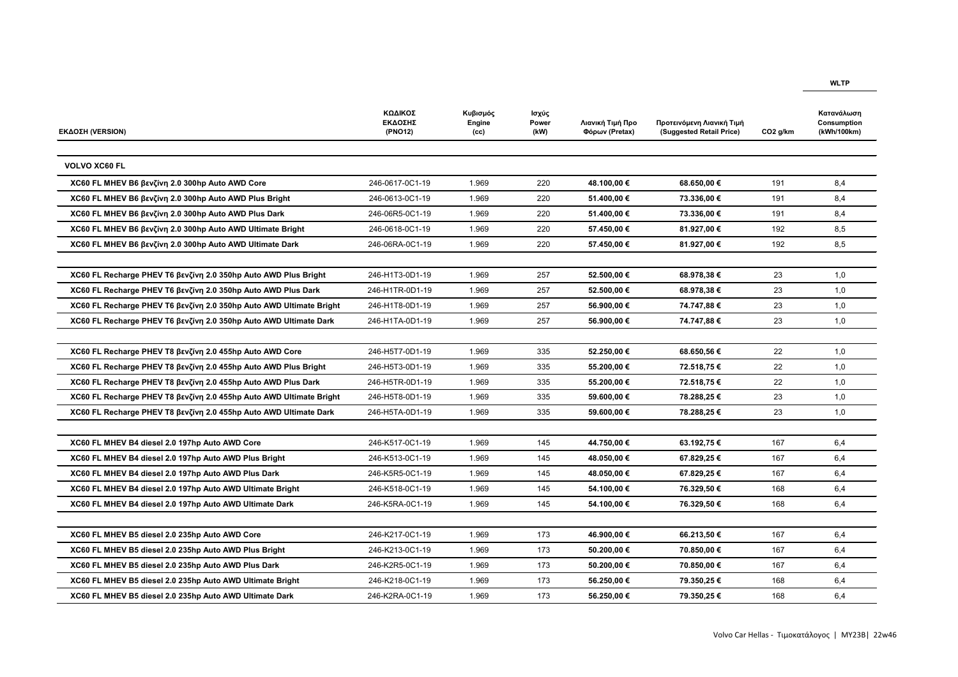| <b>ΕΚΔΟΣΗ (VERSION)</b>                                             | ΚΩΔΙΚΟΣ<br>ΕΚΔΟΣΗΣ<br>(PNO12) | Κυβισμός<br>Engine<br>(cc) | Ισχύς<br><b>Power</b><br>(kW) | Λιανική Τιμή Προ<br>Φόρων (Pretax) | Προτεινόμενη Λιανική Τιμή<br>(Suggested Retail Price) | CO <sub>2</sub> g/km | Κατανάλωση<br><b>Consumption</b><br>(kWh/100km) |
|---------------------------------------------------------------------|-------------------------------|----------------------------|-------------------------------|------------------------------------|-------------------------------------------------------|----------------------|-------------------------------------------------|
|                                                                     |                               |                            |                               |                                    |                                                       |                      |                                                 |
| <b>VOLVO XC60 FL</b>                                                |                               |                            |                               |                                    |                                                       |                      |                                                 |
| XC60 FL MHEV B6 βενζίνη 2.0 300hp Auto AWD Core                     | 246-0617-0C1-19               | 1.969                      | 220                           | 48.100,00 €                        | 68.650,00 €                                           | 191                  | 8,4                                             |
| XC60 FL MHEV B6 βενζίνη 2.0 300hp Auto AWD Plus Bright              | 246-0613-0C1-19               | 1.969                      | 220                           | 51.400,00 €                        | 73.336,00 €                                           | 191                  | 8,4                                             |
| XC60 FL MHEV B6 βενζίνη 2.0 300hp Auto AWD Plus Dark                | 246-06R5-0C1-19               | 1.969                      | 220                           | 51.400,00 €                        | 73.336,00 €                                           | 191                  | 8,4                                             |
| XC60 FL MHEV B6 βενζίνη 2.0 300hp Auto AWD Ultimate Bright          | 246-0618-0C1-19               | 1.969                      | 220                           | 57.450,00 €                        | 81.927,00 €                                           | 192                  | 8,5                                             |
| XC60 FL MHEV B6 βενζίνη 2.0 300hp Auto AWD Ultimate Dark            | 246-06RA-0C1-19               | 1.969                      | 220                           | 57.450,00 €                        | 81.927,00 €                                           | 192                  | 8,5                                             |
|                                                                     |                               |                            |                               |                                    |                                                       |                      |                                                 |
| XC60 FL Recharge PHEV T6 βενζίνη 2.0 350hp Auto AWD Plus Bright     | 246-H1T3-0D1-19               | 1.969                      | 257                           | 52.500,00 €                        | 68.978,38 €                                           | 23                   | 1,0                                             |
| XC60 FL Recharge PHEV T6 βενζίνη 2.0 350hp Auto AWD Plus Dark       | 246-H1TR-0D1-19               | 1.969                      | 257                           | 52.500,00 €                        | 68.978,38 €                                           | 23                   | 1,0                                             |
| XC60 FL Recharge PHEV T6 βενζίνη 2.0 350hp Auto AWD Ultimate Bright | 246-H1T8-0D1-19               | 1.969                      | 257                           | 56.900,00 €                        | 74.747,88 €                                           | 23                   | 1,0                                             |
| XC60 FL Recharge PHEV T6 βενζίνη 2.0 350hp Auto AWD Ultimate Dark   | 246-H1TA-0D1-19               | 1.969                      | 257                           | 56.900,00 €                        | 74.747,88 €                                           | 23                   | 1,0                                             |
|                                                                     |                               |                            |                               |                                    |                                                       |                      |                                                 |
| XC60 FL Recharge PHEV T8 βενζίνη 2.0 455hp Auto AWD Core            | 246-H5T7-0D1-19               | 1.969                      | 335                           | 52.250,00 €                        | 68.650,56 €                                           | 22                   | 1,0                                             |
| XC60 FL Recharge PHEV T8 βενζίνη 2.0 455hp Auto AWD Plus Bright     | 246-H5T3-0D1-19               | 1.969                      | 335                           | 55.200,00 €                        | 72.518,75 €                                           | 22                   | 1,0                                             |
| XC60 FL Recharge PHEV T8 βενζίνη 2.0 455hp Auto AWD Plus Dark       | 246-H5TR-0D1-19               | 1.969                      | 335                           | 55.200,00 €                        | 72.518,75 €                                           | 22                   | 1,0                                             |
| XC60 FL Recharge PHEV T8 βενζίνη 2.0 455hp Auto AWD Ultimate Bright | 246-H5T8-0D1-19               | 1.969                      | 335                           | 59.600,00 €                        | 78.288,25€                                            | 23                   | 1,0                                             |
| XC60 FL Recharge PHEV T8 βενζίνη 2.0 455hp Auto AWD Ultimate Dark   | 246-H5TA-0D1-19               | 1.969                      | 335                           | 59.600,00 €                        | 78.288,25 €                                           | 23                   | 1,0                                             |
|                                                                     |                               |                            |                               |                                    |                                                       |                      |                                                 |
| XC60 FL MHEV B4 diesel 2.0 197hp Auto AWD Core                      | 246-K517-0C1-19               | 1.969                      | 145                           | 44.750,00 €                        | 63.192,75€                                            | 167                  | 6,4                                             |
| XC60 FL MHEV B4 diesel 2.0 197hp Auto AWD Plus Bright               | 246-K513-0C1-19               | 1.969                      | 145                           | 48.050,00 €                        | 67.829,25€                                            | 167                  | 6,4                                             |
| XC60 FL MHEV B4 diesel 2.0 197hp Auto AWD Plus Dark                 | 246-K5R5-0C1-19               | 1.969                      | 145                           | 48.050,00 €                        | 67.829,25€                                            | 167                  | 6,4                                             |
| XC60 FL MHEV B4 diesel 2.0 197hp Auto AWD Ultimate Bright           | 246-K518-0C1-19               | 1.969                      | 145                           | 54.100,00 €                        | 76.329,50 €                                           | 168                  | 6,4                                             |
| XC60 FL MHEV B4 diesel 2.0 197hp Auto AWD Ultimate Dark             | 246-K5RA-0C1-19               | 1.969                      | 145                           | 54.100,00 €                        | 76.329,50 €                                           | 168                  | 6,4                                             |
|                                                                     |                               |                            |                               |                                    |                                                       |                      |                                                 |
| XC60 FL MHEV B5 diesel 2.0 235hp Auto AWD Core                      | 246-K217-0C1-19               | 1.969                      | 173                           | 46.900,00 €                        | 66.213,50 €                                           | 167                  | 6,4                                             |
| XC60 FL MHEV B5 diesel 2.0 235hp Auto AWD Plus Bright               | 246-K213-0C1-19               | 1.969                      | 173                           | 50.200,00 €                        | 70.850,00 €                                           | 167                  | 6,4                                             |
| XC60 FL MHEV B5 diesel 2.0 235hp Auto AWD Plus Dark                 | 246-K2R5-0C1-19               | 1.969                      | 173                           | 50.200,00 €                        | 70.850,00 €                                           | 167                  | 6,4                                             |
| XC60 FL MHEV B5 diesel 2.0 235hp Auto AWD Ultimate Bright           | 246-K218-0C1-19               | 1.969                      | 173                           | 56.250,00 €                        | 79.350,25€                                            | 168                  | 6,4                                             |
| XC60 FL MHEV B5 diesel 2.0 235hp Auto AWD Ultimate Dark             | 246-K2RA-0C1-19               | 1.969                      | 173                           | 56.250,00 €                        | 79.350,25 €                                           | 168                  | 6,4                                             |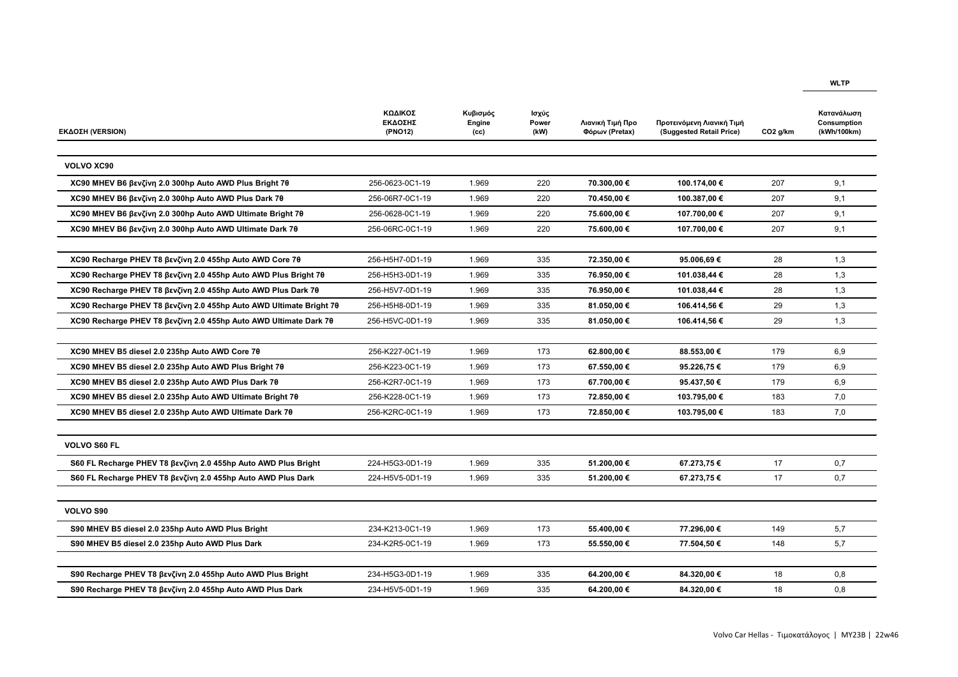| <b>ΕΚΔΟΣΗ (VERSION)</b>                                             | ΚΩΔΙΚΟΣ<br>ΕΚΔΟΣΗΣ<br>(PNO12) | Κυβισμός<br>Engine<br>(cc) | Ισχύς<br><b>Power</b><br>(kW) | Λιανική Τιμή Προ<br>Φόρων (Pretax) | Προτεινόμενη Λιανική Τιμή<br>(Suggested Retail Price) | CO <sub>2</sub> g/km | Κατανάλωση<br>Consumption<br>(kWh/100km) |
|---------------------------------------------------------------------|-------------------------------|----------------------------|-------------------------------|------------------------------------|-------------------------------------------------------|----------------------|------------------------------------------|
|                                                                     |                               |                            |                               |                                    |                                                       |                      |                                          |
| <b>VOLVO XC90</b>                                                   |                               |                            |                               |                                    |                                                       |                      |                                          |
| XC90 MHEV B6 βενζίνη 2.0 300hp Auto AWD Plus Bright 7θ              | 256-0623-0C1-19               | 1.969                      | 220                           | 70.300,00 €                        | 100.174,00 €                                          | 207                  | 9,1                                      |
| XC90 MHEV B6 βενζίνη 2.0 300hp Auto AWD Plus Dark 7θ                | 256-06R7-0C1-19               | 1.969                      | 220                           | 70.450,00 €                        | 100.387,00 €                                          | 207                  | 9,1                                      |
| XC90 MHEV B6 βενζίνη 2.0 300hp Auto AWD Ultimate Bright 7θ          | 256-0628-0C1-19               | 1.969                      | 220                           | 75.600,00 €                        | 107.700,00 €                                          | 207                  | 9,1                                      |
| XC90 MHEV B6 βενζίνη 2.0 300hp Auto AWD Ultimate Dark 7θ            | 256-06RC-0C1-19               | 1.969                      | 220                           | 75.600,00 €                        | 107.700,00 €                                          | 207                  | 9,1                                      |
|                                                                     |                               |                            |                               |                                    |                                                       |                      |                                          |
| XC90 Recharge PHEV T8 βενζίνη 2.0 455hp Auto AWD Core 7θ            | 256-H5H7-0D1-19               | 1.969                      | 335                           | 72.350,00 €                        | 95.006,69€                                            | 28                   | 1,3                                      |
| XC90 Recharge PHEV T8 βενζίνη 2.0 455hp Auto AWD Plus Bright 7θ     | 256-H5H3-0D1-19               | 1.969                      | 335                           | 76.950,00 €                        | 101.038,44 €                                          | 28                   | 1,3                                      |
| XC90 Recharge PHEV T8 βενζίνη 2.0 455hp Auto AWD Plus Dark 7θ       | 256-H5V7-0D1-19               | 1.969                      | 335                           | 76.950,00 €                        | 101.038,44 €                                          | 28                   | 1,3                                      |
| XC90 Recharge PHEV T8 βενζίνη 2.0 455hp Auto AWD Ultimate Bright 7θ | 256-H5H8-0D1-19               | 1.969                      | 335                           | 81.050,00 €                        | 106.414,56 €                                          | 29                   | 1,3                                      |
| XC90 Recharge PHEV T8 βενζίνη 2.0 455hp Auto AWD Ultimate Dark 7θ   | 256-H5VC-0D1-19               | 1.969                      | 335                           | 81.050,00 €                        | 106.414,56 €                                          | 29                   | 1,3                                      |
|                                                                     |                               |                            |                               |                                    |                                                       |                      |                                          |
| XC90 MHEV B5 diesel 2.0 235hp Auto AWD Core 70                      | 256-K227-0C1-19               | 1.969                      | 173                           | 62.800,00 €                        | 88.553,00 €                                           | 179                  | 6,9                                      |
| XC90 MHEV B5 diesel 2.0 235hp Auto AWD Plus Bright 70               | 256-K223-0C1-19               | 1.969                      | 173                           | 67.550,00 €                        | 95.226,75 €                                           | 179                  | 6,9                                      |
| XC90 MHEV B5 diesel 2.0 235hp Auto AWD Plus Dark 70                 | 256-K2R7-0C1-19               | 1.969                      | 173                           | 67.700,00 €                        | 95.437,50 €                                           | 179                  | 6,9                                      |
| XC90 MHEV B5 diesel 2.0 235hp Auto AWD Ultimate Bright 70           | 256-K228-0C1-19               | 1.969                      | 173                           | 72.850,00 €                        | 103.795,00 €                                          | 183                  | 7,0                                      |
| XC90 MHEV B5 diesel 2.0 235hp Auto AWD Ultimate Dark 70             | 256-K2RC-0C1-19               | 1.969                      | 173                           | 72.850,00 €                        | 103.795,00 €                                          | 183                  | 7,0                                      |
|                                                                     |                               |                            |                               |                                    |                                                       |                      |                                          |
| <b>VOLVO S60 FL</b>                                                 |                               |                            |                               |                                    |                                                       |                      |                                          |
| S60 FL Recharge PHEV T8 βενζίνη 2.0 455hp Auto AWD Plus Bright      | 224-H5G3-0D1-19               | 1.969                      | 335                           | 51.200,00 €                        | 67.273,75€                                            | 17                   | 0,7                                      |
| S60 FL Recharge PHEV T8 βενζίνη 2.0 455hp Auto AWD Plus Dark        | 224-H5V5-0D1-19               | 1.969                      | 335                           | 51.200,00 €                        | 67.273,75€                                            | 17                   | 0,7                                      |
|                                                                     |                               |                            |                               |                                    |                                                       |                      |                                          |
| <b>VOLVO S90</b>                                                    |                               |                            |                               |                                    |                                                       |                      |                                          |
| S90 MHEV B5 diesel 2.0 235hp Auto AWD Plus Bright                   | 234-K213-0C1-19               | 1.969                      | 173                           | 55.400,00 €                        | 77.296,00 €                                           | 149                  | 5,7                                      |
| S90 MHEV B5 diesel 2.0 235hp Auto AWD Plus Dark                     | 234-K2R5-0C1-19               | 1.969                      | 173                           | 55.550,00 €                        | 77.504,50 €                                           | 148                  | 5,7                                      |
|                                                                     |                               |                            |                               |                                    |                                                       |                      |                                          |
| S90 Recharge PHEV T8 βενζίνη 2.0 455hp Auto AWD Plus Bright         | 234-H5G3-0D1-19               | 1.969                      | 335                           | 64.200,00 €                        | 84.320,00 €                                           | 18                   | 0,8                                      |
| S90 Recharge PHEV T8 βενζίνη 2.0 455hp Auto AWD Plus Dark           | 234-H5V5-0D1-19               | 1.969                      | 335                           | 64.200,00 €                        | 84.320,00 €                                           | 18                   | 0,8                                      |

**WLTP**